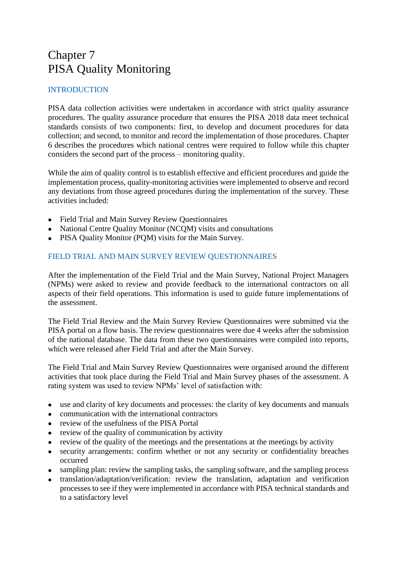# Chapter 7 PISA Quality Monitoring

## INTRODUCTION

PISA data collection activities were undertaken in accordance with strict quality assurance procedures. The quality assurance procedure that ensures the PISA 2018 data meet technical standards consists of two components: first, to develop and document procedures for data collection; and second, to monitor and record the implementation of those procedures. Chapter 6 describes the procedures which national centres were required to follow while this chapter considers the second part of the process – monitoring quality.

While the aim of quality control is to establish effective and efficient procedures and guide the implementation process, quality-monitoring activities were implemented to observe and record any deviations from those agreed procedures during the implementation of the survey. These activities included:

- Field Trial and Main Survey Review Questionnaires
- National Centre Quality Monitor (NCQM) visits and consultations
- PISA Quality Monitor (PQM) visits for the Main Survey.

### FIELD TRIAL AND MAIN SURVEY REVIEW QUESTIONNAIRES

After the implementation of the Field Trial and the Main Survey, National Project Managers (NPMs) were asked to review and provide feedback to the international contractors on all aspects of their field operations. This information is used to guide future implementations of the assessment.

The Field Trial Review and the Main Survey Review Questionnaires were submitted via the PISA portal on a flow basis. The review questionnaires were due 4 weeks after the submission of the national database. The data from these two questionnaires were compiled into reports, which were released after Field Trial and after the Main Survey.

The Field Trial and Main Survey Review Questionnaires were organised around the different activities that took place during the Field Trial and Main Survey phases of the assessment. A rating system was used to review NPMs' level of satisfaction with:

- use and clarity of key documents and processes: the clarity of key documents and manuals
- communication with the international contractors
- review of the usefulness of the PISA Portal
- review of the quality of communication by activity
- review of the quality of the meetings and the presentations at the meetings by activity
- security arrangements: confirm whether or not any security or confidentiality breaches occurred
- sampling plan: review the sampling tasks, the sampling software, and the sampling process
- translation/adaptation/verification: review the translation, adaptation and verification processes to see if they were implemented in accordance with PISA technical standards and to a satisfactory level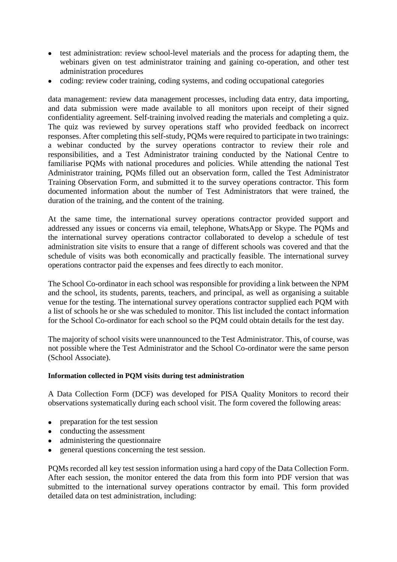- test administration: review school-level materials and the process for adapting them, the webinars given on test administrator training and gaining co-operation, and other test administration procedures
- coding: review coder training, coding systems, and coding occupational categories

data management: review data management processes, including data entry, data importing, and data submission were made available to all monitors upon receipt of their signed confidentiality agreement. Self-training involved reading the materials and completing a quiz. The quiz was reviewed by survey operations staff who provided feedback on incorrect responses. After completing this self-study, PQMs were required to participate in two trainings: a webinar conducted by the survey operations contractor to review their role and responsibilities, and a Test Administrator training conducted by the National Centre to familiarise PQMs with national procedures and policies. While attending the national Test Administrator training, PQMs filled out an observation form, called the Test Administrator Training Observation Form, and submitted it to the survey operations contractor. This form documented information about the number of Test Administrators that were trained, the duration of the training, and the content of the training.

At the same time, the international survey operations contractor provided support and addressed any issues or concerns via email, telephone, WhatsApp or Skype. The PQMs and the international survey operations contractor collaborated to develop a schedule of test administration site visits to ensure that a range of different schools was covered and that the schedule of visits was both economically and practically feasible. The international survey operations contractor paid the expenses and fees directly to each monitor.

The School Co-ordinator in each school was responsible for providing a link between the NPM and the school, its students, parents, teachers, and principal, as well as organising a suitable venue for the testing. The international survey operations contractor supplied each PQM with a list of schools he or she was scheduled to monitor. This list included the contact information for the School Co-ordinator for each school so the PQM could obtain details for the test day.

The majority of school visits were unannounced to the Test Administrator. This, of course, was not possible where the Test Administrator and the School Co-ordinator were the same person (School Associate).

#### **Information collected in PQM visits during test administration**

A Data Collection Form (DCF) was developed for PISA Quality Monitors to record their observations systematically during each school visit. The form covered the following areas:

- preparation for the test session
- conducting the assessment
- administering the questionnaire
- general questions concerning the test session.

PQMs recorded all key test session information using a hard copy of the Data Collection Form. After each session, the monitor entered the data from this form into PDF version that was submitted to the international survey operations contractor by email. This form provided detailed data on test administration, including: